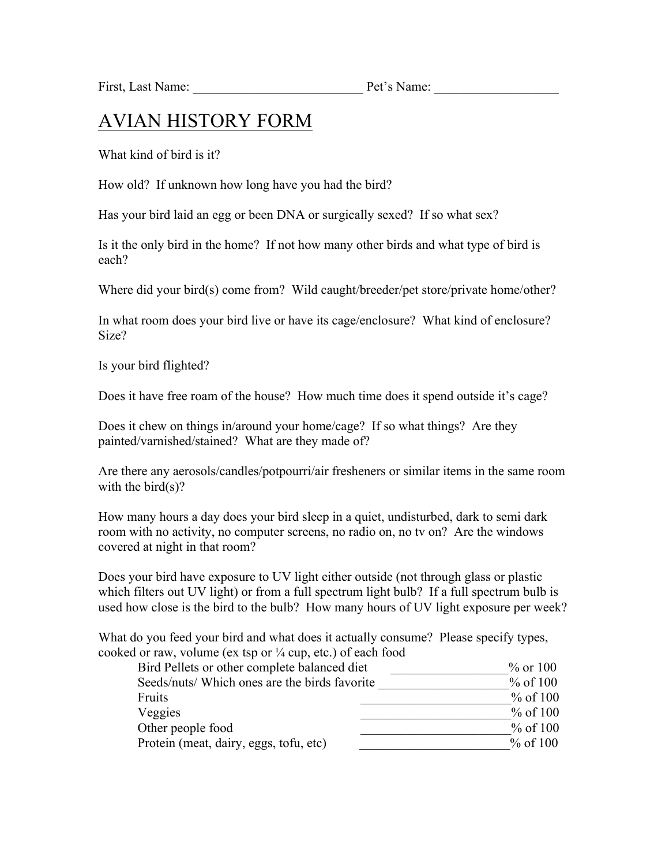First, Last Name:  $Pet's Name:$ 

## AVIAN HISTORY FORM

What kind of bird is it?

How old? If unknown how long have you had the bird?

Has your bird laid an egg or been DNA or surgically sexed? If so what sex?

Is it the only bird in the home? If not how many other birds and what type of bird is each?

Where did your bird(s) come from? Wild caught/breeder/pet store/private home/other?

In what room does your bird live or have its cage/enclosure? What kind of enclosure? Size?

Is your bird flighted?

Does it have free roam of the house? How much time does it spend outside it's cage?

Does it chew on things in/around your home/cage? If so what things? Are they painted/varnished/stained? What are they made of?

Are there any aerosols/candles/potpourri/air fresheners or similar items in the same room with the bird $(s)$ ?

How many hours a day does your bird sleep in a quiet, undisturbed, dark to semi dark room with no activity, no computer screens, no radio on, no tv on? Are the windows covered at night in that room?

Does your bird have exposure to UV light either outside (not through glass or plastic which filters out UV light) or from a full spectrum light bulb? If a full spectrum bulb is used how close is the bird to the bulb? How many hours of UV light exposure per week?

What do you feed your bird and what does it actually consume? Please specify types, cooked or raw, volume (ex tsp or  $\frac{1}{4}$  cup, etc.) of each food

| Bird Pellets or other complete balanced diet  | $\%$ or 100 |
|-----------------------------------------------|-------------|
| Seeds/nuts/ Which ones are the birds favorite | $%$ of 100  |
| Fruits                                        | % of 100    |
| Veggies                                       | % of 100    |
| Other people food                             | $%$ of 100  |
| Protein (meat, dairy, eggs, tofu, etc)        | % of 100    |
|                                               |             |